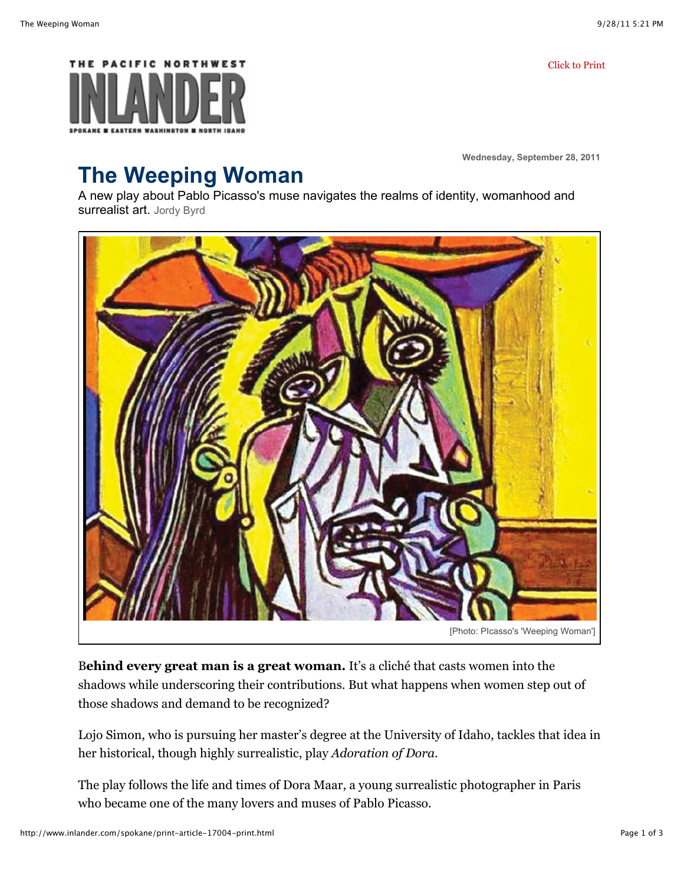Click to Print



**Wednesday, September 28, 2011**

## **The Weeping Woman**

A new play about Pablo Picasso's muse navigates the realms of identity, womanhood and surrealist art. Jordy Byrd



B**ehind every great man is a great woman.** It's a cliché that casts women into the shadows while underscoring their contributions. But what happens when women step out of those shadows and demand to be recognized?

Lojo Simon, who is pursuing her master's degree at the University of Idaho, tackles that idea in her historical, though highly surrealistic, play *Adoration of Dora*.

The play follows the life and times of Dora Maar, a young surrealistic photographer in Paris who became one of the many lovers and muses of Pablo Picasso.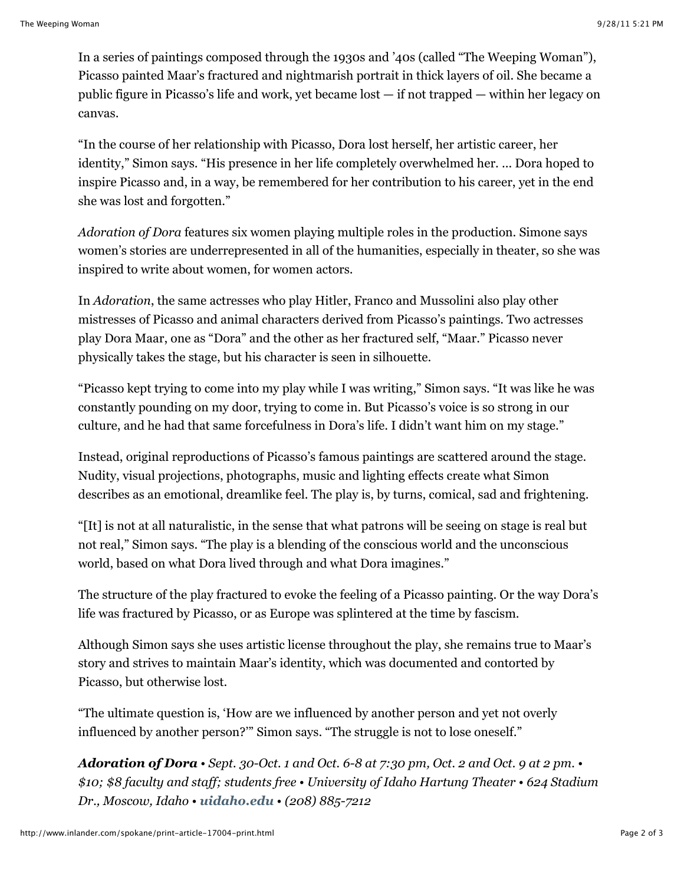In a series of paintings composed through the 1930s and '40s (called "The Weeping Woman"), Picasso painted Maar's fractured and nightmarish portrait in thick layers of oil. She became a public figure in Picasso's life and work, yet became lost — if not trapped — within her legacy on canvas.

"In the course of her relationship with Picasso, Dora lost herself, her artistic career, her identity," Simon says. "His presence in her life completely overwhelmed her. ... Dora hoped to inspire Picasso and, in a way, be remembered for her contribution to his career, yet in the end she was lost and forgotten."

*Adoration of Dora* features six women playing multiple roles in the production. Simone says women's stories are underrepresented in all of the humanities, especially in theater, so she was inspired to write about women, for women actors.

In *Adoration*, the same actresses who play Hitler, Franco and Mussolini also play other mistresses of Picasso and animal characters derived from Picasso's paintings. Two actresses play Dora Maar, one as "Dora" and the other as her fractured self, "Maar." Picasso never physically takes the stage, but his character is seen in silhouette.

"Picasso kept trying to come into my play while I was writing," Simon says. "It was like he was constantly pounding on my door, trying to come in. But Picasso's voice is so strong in our culture, and he had that same forcefulness in Dora's life. I didn't want him on my stage."

Instead, original reproductions of Picasso's famous paintings are scattered around the stage. Nudity, visual projections, photographs, music and lighting effects create what Simon describes as an emotional, dreamlike feel. The play is, by turns, comical, sad and frightening.

"[It] is not at all naturalistic, in the sense that what patrons will be seeing on stage is real but not real," Simon says. "The play is a blending of the conscious world and the unconscious world, based on what Dora lived through and what Dora imagines."

The structure of the play fractured to evoke the feeling of a Picasso painting. Or the way Dora's life was fractured by Picasso, or as Europe was splintered at the time by fascism.

Although Simon says she uses artistic license throughout the play, she remains true to Maar's story and strives to maintain Maar's identity, which was documented and contorted by Picasso, but otherwise lost.

"The ultimate question is, 'How are we influenced by another person and yet not overly influenced by another person?'" Simon says. "The struggle is not to lose oneself."

*Adoration of Dora • Sept. 30-Oct. 1 and Oct. 6-8 at 7:30 pm, Oct. 2 and Oct. 9 at 2 pm. • \$10; \$8 faculty and staff; students free • University of Idaho Hartung Theater • 624 Stadium Dr., Moscow, Idaho • uidaho.edu • (208) 885-7212*